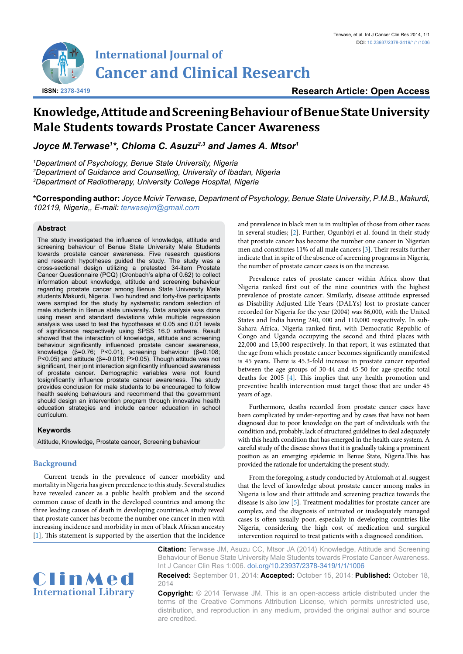

# **Knowledge, Attitude and Screening Behaviour of Benue State University Male Students towards Prostate Cancer Awareness**

*Joyce M.Terwase1 \*, Chioma C. Asuzu2,3 and James A. Mtsor1*

*1 Department of Psychology, Benue State University, Nigeria 2 Department of Guidance and Counselling, University of Ibadan, Nigeria 3 Department of Radiotherapy, University College Hospital, Nigeria*

**\*Corresponding author:** *Joyce Mcivir Terwase, Department of Psychology, Benue State University, P.M.B., Makurdi, 102119, Nigeria,, E-mail: terwasejm@gmail.com*

# **Abstract**

The study investigated the influence of knowledge, attitude and screening behaviour of Benue State University Male Students towards prostate cancer awareness. Five research questions and research hypotheses guided the study. The study was a cross-sectional design utilizing a pretested 34-item Prostate Cancer Questionnaire (PCQ) (Cronbach's alpha of 0.62) to collect information about knowledge, attitude and screening behaviour regarding prostate cancer among Benue State University Male students Makurdi, Nigeria. Two hundred and forty-five participants were sampled for the study by systematic random selection of male students in Benue state university. Data analysis was done using mean and standard deviations while multiple regression analysis was used to test the hypotheses at 0.05 and 0.01 levels of significance respectively using SPSS 16.0 software. Result showed that the interaction of knowledge, attitude and screening behaviour significantly influenced prostate cancer awareness, knowledge (β=0.76; P<0.01), screening behaviour (β=0.108; P<0.05) and attitude (β=-0.018; P>0.05). Though attitude was not significant, their joint interaction significantly influenced awareness of prostate cancer. Demographic variables were not found tosignificantly influence prostate cancer awareness. The study provides conclusion for male students to be encouraged to follow health seeking behaviours and recommend that the government should design an intervention program through innovative health education strategies and include cancer education in school curriculum.

# **Keywords**

Attitude, Knowledge, Prostate cancer, Screening behaviour

# **Background**

Current trends in the prevalence of cancer morbidity and mortality in Nigeria has given precedence to this study. Several studies have revealed cancer as a public health problem and the second common cause of death in the developed countries and among the three leading causes of death in developing countries.A study reveal that prostate cancer has become the number one cancer in men with increasing incidence and morbidity in men of black African ancestry [[1\]](#page-3-4), This statement is supported by the assertion that the incidence and prevalence in black men is in multiples of those from other races in several studies; [[2](#page-3-0)]. Further, Ogunbiyi et al. found in their study that prostate cancer has become the number one cancer in Nigerian men and constitutes 11% of all male cancers [\[3\]](#page-3-1). Their results further indicate that in spite of the absence of screening programs in Nigeria, the number of prostate cancer cases is on the increase.

Prevalence rates of prostate cancer within Africa show that Nigeria ranked first out of the nine countries with the highest prevalence of prostate cancer. Similarly, disease attitude expressed as Disability Adjusted Life Years (DALYs) lost to prostate cancer recorded for Nigeria for the year (2004) was 86,000, with the United States and India having 240, 000 and 110,000 respectively. In sub-Sahara Africa, Nigeria ranked first, with Democratic Republic of Congo and Uganda occupying the second and third places with 22,000 and 15,000 respectively. In that report, it was estimated that the age from which prostate cancer becomes significantly manifested is 45 years. There is 45.3-fold increase in prostate cancer reported between the age groups of 30-44 and 45-50 for age-specific total deaths for 2005 [\[4](#page-3-2)]. This implies that any health promotion and preventive health intervention must target those that are under 45 years of age.

Furthermore, deaths recorded from prostate cancer cases have been complicated by under-reporting and by cases that have not been diagnosed due to poor knowledge on the part of individuals with the condition and, probably, lack of structured guidelines to deal adequately with this health condition that has emerged in the health care system. A careful study of the disease shows that it is gradually taking a prominent position as an emerging epidemic in Benue State, Nigeria.This has provided the rationale for undertaking the present study.

From the foregoing, a study conducted by Atulomah at al. suggest that the level of knowledge about prostate cancer among males in Nigeria is low and their attitude and screening practice towards the disease is also low [[5\]](#page-3-3). Treatment modalities for prostate cancer are complex, and the diagnosis of untreated or inadequately managed cases is often usually poor, especially in developing countries like Nigeria, considering the high cost of medication and surgical intervention required to treat patients with a diagnosed condition.



**Citation:** Terwase JM, Asuzu CC, Mtsor JA (2014) Knowledge, Attitude and Screening Behaviour of Benue State University Male Students towards Prostate Cancer Awareness. Int J Cancer Clin Res 1:006. [doi.org/10.23937/2378-3419/1/1/1006](https://doi.org/10.23937/2378-3419/1/1/1006)

**Received:** September 01, 2014: **Accepted:** October 15, 2014: **Published:** October 18, 2014

**Copyright:** © 2014 Terwase JM. This is an open-access article distributed under the terms of the Creative Commons Attribution License, which permits unrestricted use, distribution, and reproduction in any medium, provided the original author and source are credited.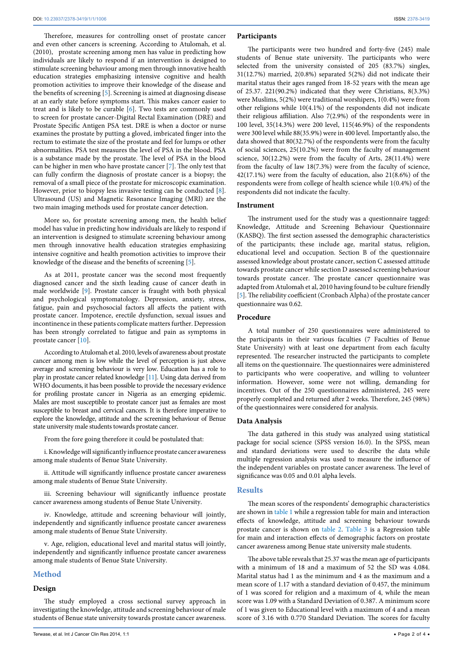Therefore, measures for controlling onset of prostate cancer and even other cancers is screening. According to Atulomah, et al. (2010), prostate screening among men has value in predicting how individuals are likely to respond if an intervention is designed to stimulate screening behaviour among men through innovative health education strategies emphasizing intensive cognitive and health promotion activities to improve their knowledge of the disease and the benefits of screening [\[5\]](#page-3-3). Screening is aimed at diagnosing disease at an early state before symptoms start. This makes cancer easier to treat and is likely to be curable [[6](#page-3-5)]. Two tests are commonly used to screen for prostate cancer-Digital Rectal Examination (DRE) and Prostate Specific Antigen PSA test. DRE is when a doctor or nurse examines the prostate by putting a gloved, imbricated finger into the rectum to estimate the size of the prostate and feel for lumps or other abnormalities. PSA test measures the level of PSA in the blood. PSA is a substance made by the prostate. The level of PSA in the blood can be higher in men who have prostate cancer [[7](#page-3-6)]. The only test that can fully confirm the diagnosis of prostate cancer is a biopsy; the removal of a small piece of the prostate for microscopic examination. However, prior to biopsy less invasive testing can be conducted [\[8](#page-3-7)]. Ultrasound (US) and Magnetic Resonance Imaging (MRI) are the two main imaging methods used for prostate cancer detection.

More so, for prostate screening among men, the health belief model has value in predicting how individuals are likely to respond if an intervention is designed to stimulate screening behaviour among men through innovative health education strategies emphasizing intensive cognitive and health promotion activities to improve their knowledge of the disease and the benefits of screening [[5](#page-3-3)].

As at 2011, prostate cancer was the second most frequently diagnosed cancer and the sixth leading cause of cancer death in male worldwide [[9\]](#page-3-8). Prostate cancer is fraught with both physical and psychological symptomatology. Depression, anxiety, stress, fatigue, pain and psychosocial factors all affects the patient with prostate cancer. Impotence, erectile dysfunction, sexual issues and incontinence in these patients complicate matters further. Depression has been strongly correlated to fatigue and pain as symptoms in prostate cancer [[10](#page-3-9)].

According to Atulomah et al. 2010, levels of awareness about prostate cancer among men is low while the level of perception is just above average and screening behaviour is very low. Education has a role to play in prostate cancer related knowledge [[11\]](#page-3-10). Using data derived from WHO documents, it has been possible to provide the necessary evidence for profiling prostate cancer in Nigeria as an emerging epidemic. Males are most susceptible to prostate cancer just as females are most susceptible to breast and cervical cancers. It is therefore imperative to explore the knowledge, attitude and the screening behaviour of Benue state university male students towards prostate cancer.

From the fore going therefore it could be postulated that:

i. Knowledge will significantly influence prostate cancer awareness among male students of Benue State University.

ii. Attitude will significantly influence prostate cancer awareness among male students of Benue State University.

iii. Screening behaviour will significantly influence prostate cancer awareness among students of Benue State University.

iv. Knowledge, attitude and screening behaviour will jointly, independently and significantly influence prostate cancer awareness among male students of Benue State University.

v. Age, religion, educational level and marital status will jointly, independently and significantly influence prostate cancer awareness among male students of Benue State University.

# **Method**

### **Design**

The study employed a cross sectional survey approach in investigating the knowledge, attitude and screening behaviour of male students of Benue state university towards prostate cancer awareness.

#### **Participants**

The participants were two hundred and forty-five (245) male students of Benue state university. The participants who were selected from the university consisted of 205 (83.7%) singles, 31(12.7%) married, 2(0.8%) separated 5(2%) did not indicate their marital status their ages ranged from 18-52 years with the mean age of 25.37. 221(90.2%) indicated that they were Christians, 8(3.3%) were Muslims, 5(2%) were traditional worshipers, 1(0.4%) were from other religions while 10(4.1%) of the respondents did not indicate their religious affiliation. Also 7(2.9%) of the respondents were in 100 level, 35(14.3%) were 200 level, 115(46.9%) of the respondents were 300 level while 88(35.9%) were in 400 level. Importantly also, the data showed that 80(32.7%) of the respondents were from the faculty of social sciences, 25(10.2%) were from the faculty of management science, 30(12.2%) were from the faculty of Arts, 28(11.4%) were from the faculty of law 18(7.3%) were from the faculty of science, 42(17.1%) were from the faculty of education, also 21(8.6%) of the respondents were from college of health science while 1(0.4%) of the respondents did not indicate the faculty.

#### **Instrument**

The instrument used for the study was a questionnaire tagged: Knowledge, Attitude and Screening Behaviour Questionnaire (KASBQ). The first section assessed the demographic characteristics of the participants; these include age, marital status, religion, educational level and occupation. Section B of the questionnaire assessed knowledge about prostate cancer, section C assessed attitude towards prostate cancer while section D assessed screening behaviour towards prostate cancer. The prostate cancer questionnaire was adapted from Atulomah et al, 2010 having found to be culture friendly [[5](#page-3-3)]. The reliability coefficient (Cronbach Alpha) of the prostate cancer questionnaire was 0.62.

#### **Procedure**

A total number of 250 questionnaires were administered to the participants in their various faculties (7 Faculties of Benue State University) with at least one department from each faculty represented. The researcher instructed the participants to complete all items on the questionnaire. The questionnaires were administered to participants who were cooperative, and willing to volunteer information. However, some were not willing, demanding for incentives. Out of the 250 questionnaires administered, 245 were properly completed and returned after 2 weeks. Therefore, 245 (98%) of the questionnaires were considered for analysis.

# **Data Analysis**

The data gathered in this study was analyzed using statistical package for social science (SPSS version 16.0). In the SPSS, mean and standard deviations were used to describe the data while multiple regression analysis was used to measure the influence of the independent variables on prostate cancer awareness. The level of significance was 0.05 and 0.01 alpha levels.

#### **Results**

The mean scores of the respondents' demographic characteristics are shown in [table 1](#page-2-0) while a regression table for main and interaction effects of knowledge, attitude and screening behaviour towards prostate cancer is shown on [table 2](#page-2-1). [Table 3](#page-2-2) is a Regression table for main and interaction effects of demographic factors on prostate cancer awareness among Benue state university male students.

The above table reveals that 25.37 was the mean age of participants with a minimum of 18 and a maximum of 52 the SD was 4.084. Marital status had 1 as the minimum and 4 as the maximum and a mean score of 1.17 with a standard deviation of 0.457, the minimum of 1 was scored for religion and a maximum of 4, while the mean score was 1.09 with a Standard Deviation of 0.387. A minimum score of 1 was given to Educational level with a maximum of 4 and a mean score of 3.16 with 0.770 Standard Deviation. The scores for faculty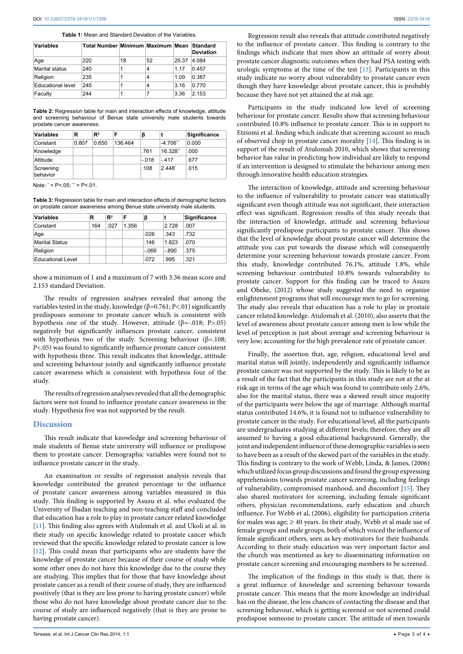<span id="page-2-0"></span>

| <b>Table 1:</b> Mean and Standard Deviation of the Variables. |  |  |
|---------------------------------------------------------------|--|--|
|---------------------------------------------------------------|--|--|

| Variables             | Total Number Minimum Maximum Mean Standard |    |    |       | <b>Deviation</b> |
|-----------------------|--------------------------------------------|----|----|-------|------------------|
| Age                   | 220                                        | 18 | 52 | 25.37 | 4.084            |
| <b>Marital status</b> | 240                                        |    | 4  | 1 1 7 | 0.457            |
| Religion              | 235                                        |    | 4  | 1.09  | 0.387            |
| Educational level     | 245                                        |    | 4  | 3.16  | 0.770            |
| Faculty               | 244                                        |    |    | 3.36  | 2.153            |

<span id="page-2-1"></span>**Table 2:** Regression table for main and interaction effects of knowledge, attitude and screening behaviour of Benue state university male students towards prostate cancer awareness.

| Variables             | R     | $\mathbb{R}^2$ | F       | ß       |                      | Significance |
|-----------------------|-------|----------------|---------|---------|----------------------|--------------|
| Constant              | 0.807 | 0.650          | 136.464 |         | $-4.706"$            | 0.000        |
| Knowledge             |       |                |         | .761    | 16.328"              | .000         |
| Attitude              |       |                |         | $-.018$ | - 417                | .677         |
| Screening<br>behavior |       |                |         | .108    | $2.448$ <sup>*</sup> | .015         |

Note:  $\dot{ }$  = P<.05;  $\dot{ }$  = P<.01.

<span id="page-2-2"></span>**Table 3:** Regression table for main and interaction effects of demographic factors on prostate cancer awareness among Benue state university male students.

| Variables                | R    | $\mathbb{R}^2$ | F     | β       |         | Significance |
|--------------------------|------|----------------|-------|---------|---------|--------------|
| Constant                 | .164 | .027           | 1.356 |         | 2.728   | .007         |
| Age                      |      |                |       | .026    | .343    | .732         |
| <b>Marital Status</b>    |      |                |       | .146    | 1.823   | .070         |
| Religion                 |      |                |       | $-.069$ | $-.890$ | .375         |
| <b>Educational Level</b> |      |                |       | .072    | .995    | .321         |

show a minimum of 1 and a maximum of 7 with 3.36 mean score and 2.153 standard Deviation.

The results of regression analyses revealed that among the variables tested in the study, knowledge ( $β=0.761; P<.01$ ) significantly predisposes someone to prostate cancer which is consistent with hypothesis one of the study. However, attitude (β=-.018; P>.05) negatively but significantly influences prostate cancer, consistent with hypothesis two of the study. Screening behaviour ( $\beta$ =.108; P<.05) was found to significantly influence prostate cancer consistent with hypothesis three. This result indicates that knowledge, attitude and screening behaviour jointly and significantly influence prostate cancer awareness which is consistent with hypothesis four of the study.

The results of regression analyses revealed that all the demographic factors were not found to influence prostate cancer awareness in the study. Hypothesis five was not supported by the result.

# **Discussion**

This result indicate that knowledge and screening behaviour of male students of Benue state university will influence or predispose them to prostate cancer. Demographic variables were found not to influence prostate cancer in the study.

An examination or results of regression analysis reveals that knowledge contributed the greatest percentage to the influence of prostate cancer awareness among variables measured in this study. This finding is supported by Asuzu et al. who evaluated the University of Ibadan teaching and non-teaching staff and concluded that education has a role to play in prostate cancer related knowledge [[11](#page-3-10)]. This finding also agrees with Atulomah et al. and Ukoli at al. in their study on specific knowledge related to prostate cancer which reviewed that the specific knowledge related to prostate cancer is low [[12](#page-3-11)]. This could mean that participants who are students have the knowledge of prostate cancer because of their course of study while some other ones do not have this knowledge due to the course they are studying. This implies that for those that have knowledge about prostate cancer as a result of their course of study, they are influenced positively (that is they are less prone to having prostate cancer) while those who do not have knowledge about prostate cancer due to the course of study are influenced negatively (that is they are prone to having prostate cancer).

Regression result also reveals that attitude contributed negatively to the influence of prostate cancer. This finding is contrary to the findings which indicate that men show an attitude of worry about prostate cancer diagnostic outcomes when they had PSA testing with urologic symptoms at the time of the test [[13](#page-3-12)]. Participants in this study indicate no worry about vulnerability to prostate cancer even though they have knowledge about prostate cancer, this is probably because they have not yet attained the at risk age.

Participants in the study indicated low level of screening behaviour for prostate cancer. Results show that screening behaviour contributed 10.8% influence to prostate cancer. This is in support to Etziomi et al. finding which indicate that screening account so much of observed chop in prostate cancer morality [\[14\]](#page-3-13). This finding is in support of the result of Atulomah 2010, which shows that screening behavior has value in predicting how individual are likely to respond if an intervention is designed to stimulate the behaviour among men through innovative health education strategies.

The interaction of knowledge, attitude and screening behaviour to the influence of vulnerability to prostate cancer was statistically significant even though attitude was not significant, their interaction effect was significant. Regression results of this study reveals that the interaction of knowledge, attitude and screening behaviour significantly predispose participants to prostate cancer. This shows that the level of knowledge about prostate cancer will determine the attitude you can put towards the disease which will consequently determine your screening behaviour towards prostate cancer. From this study, knowledge contributed 76.1%, attitude 1.8%, while screening behaviour contributed 10.8% towards vulnerability to prostate cancer. Support for this finding can be traced to Asuzu and Obeke, (2012) whose study suggested the need to organize enlightenment programs that will encourage men to go for screening. The study also reveals that education has a role to play in prostate cancer related knowledge. Atulomah et al. (2010), also asserts that the level of awareness about prostate cancer among men is low while the level of perception is just about average and screening behaviour is very low; accounting for the high prevalence rate of prostate cancer.

Finally, the assertion that, age, religion, educational level and marital status will jointly, independently and significantly influence prostate cancer was not supported by the study. This is likely to be as a result of the fact that the participants in this study are not at the at risk age in terms of the age which was found to contribute only 2.6%, also for the marital status, there was a skewed result since majority of the participants were below the age of marriage. Although marital status contributed 14.6%, it is found not to influence vulnerability to prostate cancer in the study. For educational level, all the participants are undergraduates studying at different levels; therefore, they are all assumed to having a good educational background. Generally, the joint and independent influence of these demographic variables is seen to have been as a result of the skewed part of the variables in the study. This finding is contrary to the work of Webb, Linda, & James, (2006) which utilized focus group discussions and found the group expressing apprehensions towards prostate cancer screening, including feelings of vulnerability, compromised manhood, and discomfort [[15](#page-3-14)]. They also shared motivators for screening, including female significant others, physician recommendations, early education and church influence. For Webb et al, (2006), eligibility for participation criteria for males was age;  $\geq 40$  years. In their study, Webb et al made use of female groups and male groups, both of which voiced the influence of female significant others, seen as key motivators for their husbands. According to their study education was very important factor and the church was mentioned as key to disseminating information on prostate cancer screening and encouraging members to be screened.

The implication of the findings in this study is that, there is a great influence of knowledge and screening behavour towards prostate cancer. This means that the more knowledge an individual has on the disease, the less chances of contacting the disease and that screening behavour, which is getting screened or not screened could predispose someone to prostate cancer. The attitude of men towards